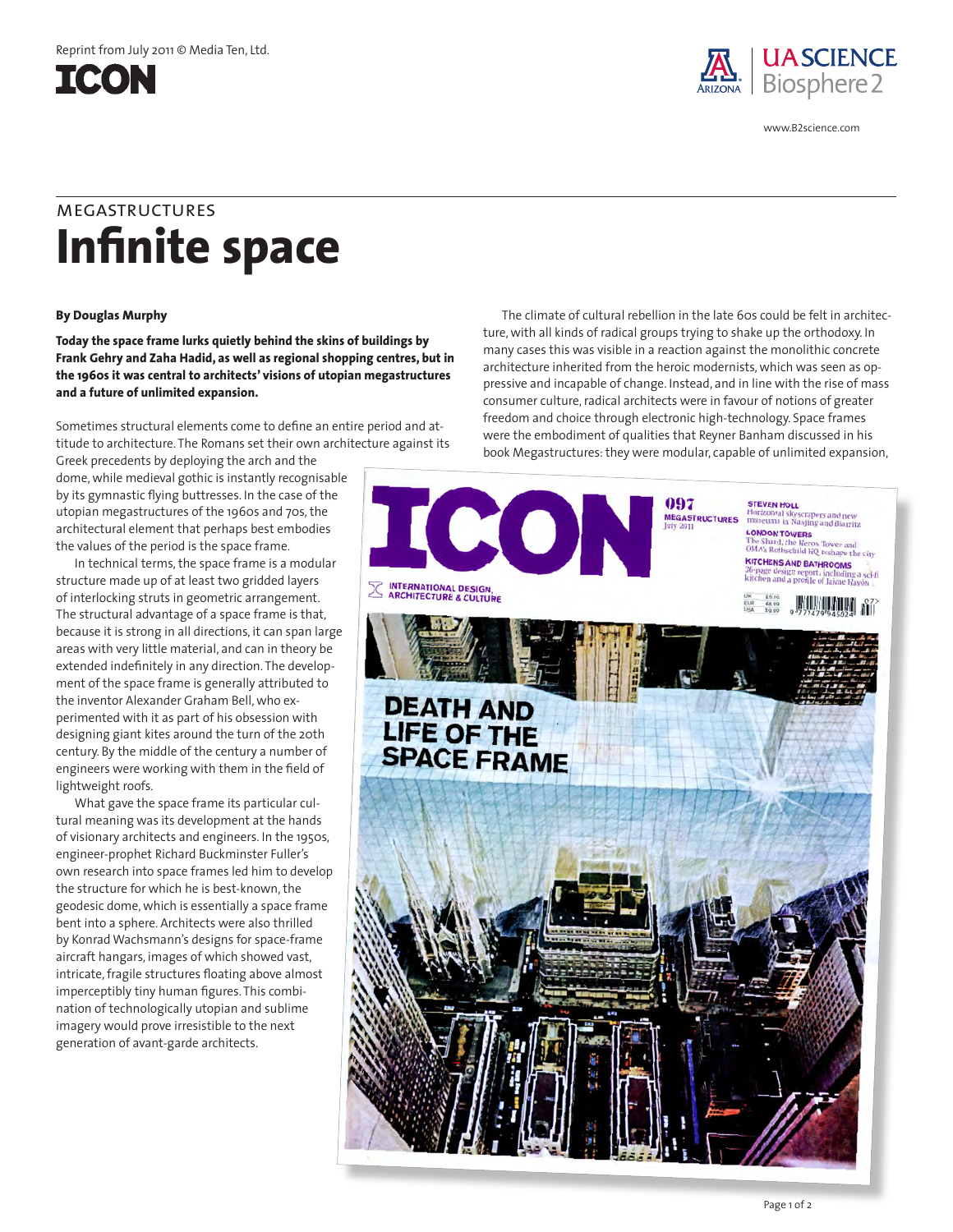



www.B2science.com

## **Infinite space** megastructures

## **By Douglas Murphy**

**Today the space frame lurks quietly behind the skins of buildings by Frank Gehry and Zaha Hadid, as well as regional shopping centres, but in the 1960s it was central to architects' visions of utopian megastructures and a future of unlimited expansion.**

Sometimes structural elements come to define an entire period and attitude to architecture. The Romans set their own architecture against its

Greek precedents by deploying the arch and the dome, while medieval gothic is instantly recognisable by its gymnastic flying buttresses. In the case of the utopian megastructures of the 1960s and 70s, the architectural element that perhaps best embodies the values of the period is the space frame.

In technical terms, the space frame is a modular structure made up of at least two gridded layers of interlocking struts in geometric arrangement. The structural advantage of a space frame is that, because it is strong in all directions, it can span large areas with very little material, and can in theory be extended indefinitely in any direction. The development of the space frame is generally attributed to the inventor Alexander Graham Bell, who experimented with it as part of his obsession with designing giant kites around the turn of the 20th century. By the middle of the century a number of engineers were working with them in the field of lightweight roofs.

What gave the space frame its particular cultural meaning was its development at the hands of visionary architects and engineers. In the 1950s, engineer-prophet Richard Buckminster Fuller's own research into space frames led him to develop the structure for which he is best-known, the geodesic dome, which is essentially a space frame bent into a sphere. Architects were also thrilled by Konrad Wachsmann's designs for space-frame aircraft hangars, images of which showed vast, intricate, fragile structures floating above almost imperceptibly tiny human figures. This combination of technologically utopian and sublime imagery would prove irresistible to the next generation of avant-garde architects.

The climate of cultural rebellion in the late 60s could be felt in architecture, with all kinds of radical groups trying to shake up the orthodoxy. In many cases this was visible in a reaction against the monolithic concrete architecture inherited from the heroic modernists, which was seen as oppressive and incapable of change. Instead, and in line with the rise of mass consumer culture, radical architects were in favour of notions of greater freedom and choice through electronic high-technology. Space frames were the embodiment of qualities that Reyner Banham discussed in his book Megastructures: they were modular, capable of unlimited expansion,